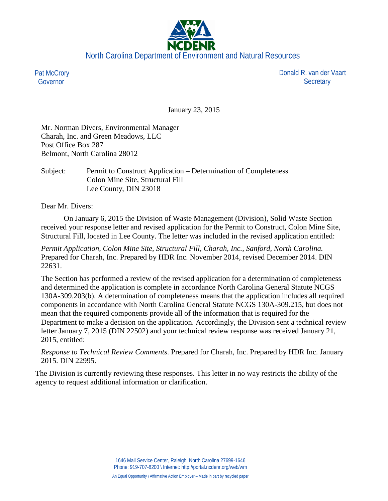

Pat McCrory Governor

 Donald R. van der Vaart **Secretary** 

January 23, 2015

Mr. Norman Divers, Environmental Manager Charah, Inc. and Green Meadows, LLC Post Office Box 287 Belmont, North Carolina 28012

Subject: Permit to Construct Application – Determination of Completeness Colon Mine Site, Structural Fill Lee County, DIN 23018

Dear Mr. Divers:

On January 6, 2015 the Division of Waste Management (Division), Solid Waste Section received your response letter and revised application for the Permit to Construct, Colon Mine Site, Structural Fill, located in Lee County. The letter was included in the revised application entitled:

*Permit Application, Colon Mine Site, Structural Fill, Charah, Inc., Sanford, North Carolina.* Prepared for Charah, Inc. Prepared by HDR Inc. November 2014, revised December 2014. DIN 22631.

The Section has performed a review of the revised application for a determination of completeness and determined the application is complete in accordance North Carolina General Statute NCGS 130A-309.203(b). A determination of completeness means that the application includes all required components in accordance with North Carolina General Statute NCGS 130A-309.215, but does not mean that the required components provide all of the information that is required for the Department to make a decision on the application. Accordingly, the Division sent a technical review letter January 7, 2015 (DIN 22502) and your technical review response was received January 21, 2015, entitled:

*Response to Technical Review Comments*. Prepared for Charah, Inc. Prepared by HDR Inc. January 2015. DIN 22995.

The Division is currently reviewing these responses. This letter in no way restricts the ability of the agency to request additional information or clarification.